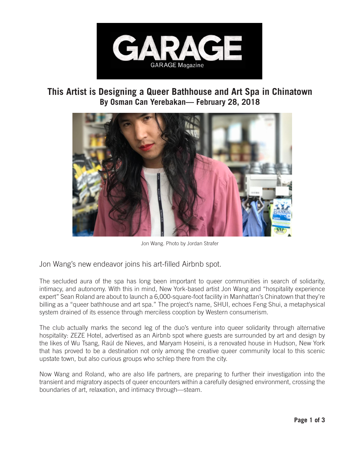

## **This Artist is Designing a Queer Bathhouse and Art Spa in Chinatown By Osman Can Yerebakan— February 28, 2018**



Jon Wang. Photo by Jordan Strafer

Jon Wang's new endeavor joins his art-filled Airbnb spot.

The secluded aura of the spa has long been important to queer communities in search of solidarity, intimacy, and autonomy. With this in mind, New York-based artist Jon Wang and "hospitality experience expert" Sean Roland are about to launch a 6,000-square-foot facility in Manhattan's Chinatown that they're billing as a "queer bathhouse and art spa." The project's name, SHUI, echoes Feng Shui, a metaphysical system drained of its essence through merciless cooption by Western consumerism.

The club actually marks the second leg of the duo's venture into queer solidarity through alternative hospitality: ZEZE Hotel, advertised as an Airbnb spot where guests are surrounded by art and design by the likes of Wu Tsang, Raúl de Nieves, and Maryam Hoseini, is a renovated house in Hudson, New York that has proved to be a destination not only among the creative queer community local to this scenic upstate town, but also curious groups who schlep there from the city.

Now Wang and Roland, who are also life partners, are preparing to further their investigation into the transient and migratory aspects of queer encounters within a carefully designed environment, crossing the boundaries of art, relaxation, and intimacy through—steam.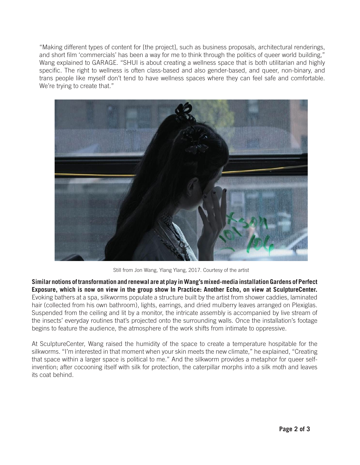"Making different types of content for [the project], such as business proposals, architectural renderings, and short film 'commercials' has been a way for me to think through the politics of queer world building," Wang explained to GARAGE. "SHUI is about creating a wellness space that is both utilitarian and highly specific. The right to wellness is often class-based and also gender-based, and queer, non-binary, and trans people like myself don't tend to have wellness spaces where they can feel safe and comfortable. We're trying to create that."



Still from Jon Wang, Ylang Ylang, 2017. Courtesy of the artist

**Similar notions of transformation and renewal are at play in Wang's mixed-media installation Gardens of Perfect Exposure, which is now on view in the group show In Practice: Another Echo, on view at SculptureCenter.**  Evoking bathers at a spa, silkworms populate a structure built by the artist from shower caddies, laminated hair (collected from his own bathroom), lights, earrings, and dried mulberry leaves arranged on Plexiglas. Suspended from the ceiling and lit by a monitor, the intricate assembly is accompanied by live stream of the insects' everyday routines that's projected onto the surrounding walls. Once the installation's footage begins to feature the audience, the atmosphere of the work shifts from intimate to oppressive.

At SculptureCenter, Wang raised the humidity of the space to create a temperature hospitable for the silkworms. "I'm interested in that moment when your skin meets the new climate," he explained, "Creating that space within a larger space is political to me." And the silkworm provides a metaphor for queer selfinvention; after cocooning itself with silk for protection, the caterpillar morphs into a silk moth and leaves its coat behind.